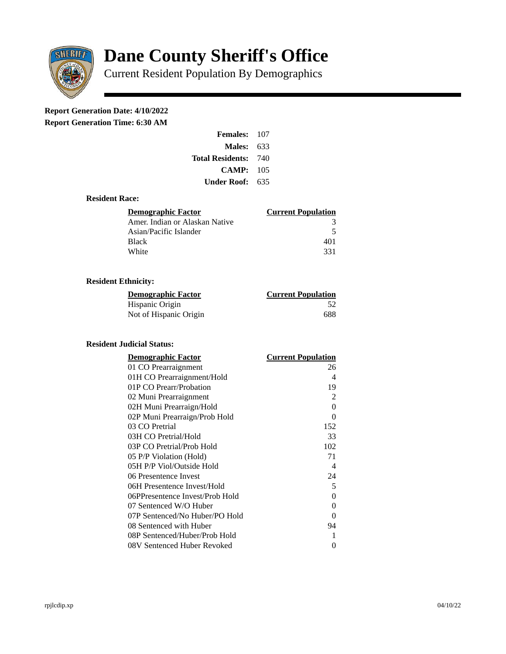

# **Dane County Sheriff's Office**

Current Resident Population By Demographics

# **Report Generation Date: 4/10/2022**

**Report Generation Time: 6:30 AM** 

| Females:         | 107 |
|------------------|-----|
| Males:           | 633 |
| Total Residents: | 740 |
| CAMP:            | 105 |
| Under Roof:      | 635 |

### **Resident Race:**

| Demographic Factor             | <b>Current Population</b> |
|--------------------------------|---------------------------|
| Amer. Indian or Alaskan Native |                           |
| Asian/Pacific Islander         | 5                         |
| <b>Black</b>                   | 401                       |
| White                          | 331                       |

# **Resident Ethnicity:**

| <u>Demographic Factor</u> | <u>Current Population</u> |
|---------------------------|---------------------------|
| Hispanic Origin           | -52                       |
| Not of Hispanic Origin    | 688                       |

#### **Resident Judicial Status:**

| <b>Demographic Factor</b>       | <b>Current Population</b>  |
|---------------------------------|----------------------------|
| 01 CO Prearraignment            | 26                         |
| 01H CO Prearraignment/Hold      | 4                          |
| 01P CO Prearr/Probation         | 19                         |
| 02 Muni Prearraignment          | 2                          |
| 02H Muni Prearraign/Hold        | $\Omega$                   |
| 02P Muni Prearraign/Prob Hold   | 0                          |
| 03 CO Pretrial                  | 152                        |
| 03H CO Pretrial/Hold            | 33                         |
| 03P CO Pretrial/Prob Hold       | 102                        |
| 05 P/P Violation (Hold)         | 71                         |
| 05H P/P Viol/Outside Hold       | $\boldsymbol{\mathcal{A}}$ |
| 06 Presentence Invest           | 24                         |
| 06H Presentence Invest/Hold     | 5                          |
| 06PPresentence Invest/Prob Hold | 0                          |
| 07 Sentenced W/O Huber          | 0                          |
| 07P Sentenced/No Huber/PO Hold  | 0                          |
| 08 Sentenced with Huber         | 94                         |
| 08P Sentenced/Huber/Prob Hold   | 1                          |
| 08V Sentenced Huber Revoked     | 0                          |